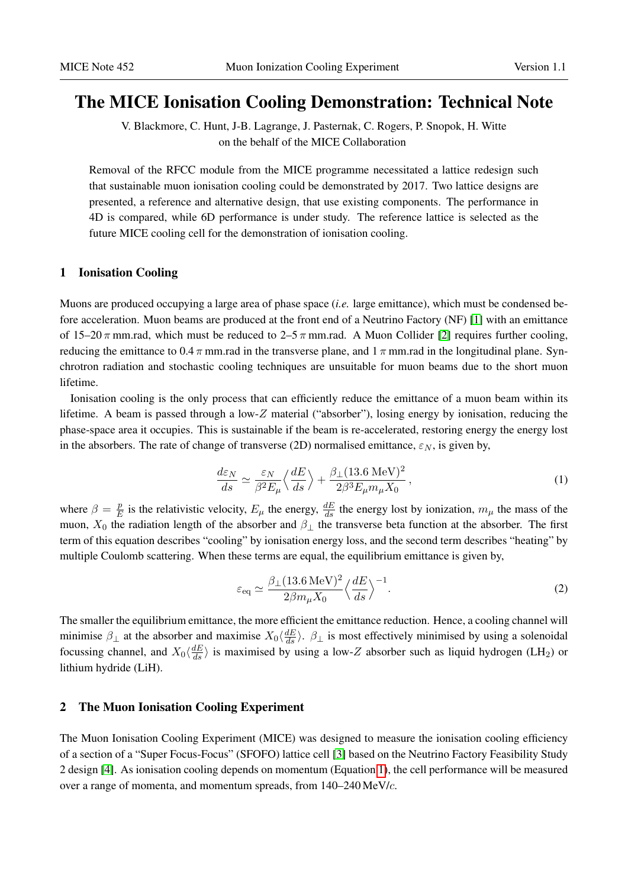# The MICE Ionisation Cooling Demonstration: Technical Note

V. Blackmore, C. Hunt, J-B. Lagrange, J. Pasternak, C. Rogers, P. Snopok, H. Witte on the behalf of the MICE Collaboration

Removal of the RFCC module from the MICE programme necessitated a lattice redesign such that sustainable muon ionisation cooling could be demonstrated by 2017. Two lattice designs are presented, a reference and alternative design, that use existing components. The performance in 4D is compared, while 6D performance is under study. The reference lattice is selected as the future MICE cooling cell for the demonstration of ionisation cooling.

# 1 Ionisation Cooling

Muons are produced occupying a large area of phase space (*i.e.* large emittance), which must be condensed before acceleration. Muon beams are produced at the front end of a Neutrino Factory (NF) [\[1\]](#page-11-0) with an emittance of 15–20  $\pi$  mm.rad, which must be reduced to 2–5  $\pi$  mm.rad. A Muon Collider [\[2\]](#page-11-1) requires further cooling, reducing the emittance to 0.4  $\pi$  mm.rad in the transverse plane, and 1  $\pi$  mm.rad in the longitudinal plane. Synchrotron radiation and stochastic cooling techniques are unsuitable for muon beams due to the short muon lifetime.

Ionisation cooling is the only process that can efficiently reduce the emittance of a muon beam within its lifetime. A beam is passed through a low-Z material ("absorber"), losing energy by ionisation, reducing the phase-space area it occupies. This is sustainable if the beam is re-accelerated, restoring energy the energy lost in the absorbers. The rate of change of transverse (2D) normalised emittance,  $\varepsilon_N$ , is given by,

<span id="page-0-0"></span>
$$
\frac{d\varepsilon_N}{ds} \simeq \frac{\varepsilon_N}{\beta^2 E_\mu} \left\langle \frac{dE}{ds} \right\rangle + \frac{\beta_\perp (13.6 \text{ MeV})^2}{2\beta^3 E_\mu m_\mu X_0},\tag{1}
$$

where  $\beta = \frac{p}{F}$  $\frac{p}{E}$  is the relativistic velocity,  $E_{\mu}$  the energy,  $\frac{dE}{ds}$  the energy lost by ionization,  $m_{\mu}$  the mass of the muon,  $X_0$  the radiation length of the absorber and  $\beta_1$  the transverse beta function at the absorber. The first term of this equation describes "cooling" by ionisation energy loss, and the second term describes "heating" by multiple Coulomb scattering. When these terms are equal, the equilibrium emittance is given by,

<span id="page-0-1"></span>
$$
\varepsilon_{\text{eq}} \simeq \frac{\beta_{\perp} (13.6 \,\text{MeV})^2}{2\beta m_{\mu} X_0} \left\langle \frac{dE}{ds} \right\rangle^{-1}.
$$

The smaller the equilibrium emittance, the more efficient the emittance reduction. Hence, a cooling channel will minimise  $\beta_{\perp}$  at the absorber and maximise  $X_0\left(\frac{dE}{ds}\right)$ .  $\beta_{\perp}$  is most effectively minimised by using a solenoidal focussing channel, and  $X_0 \langle \frac{dE}{ds} \rangle$  is maximised by using a low-Z absorber such as liquid hydrogen (LH<sub>2</sub>) or lithium hydride (LiH).

#### 2 The Muon Ionisation Cooling Experiment

The Muon Ionisation Cooling Experiment (MICE) was designed to measure the ionisation cooling efficiency of a section of a "Super Focus-Focus" (SFOFO) lattice cell [\[3\]](#page-11-2) based on the Neutrino Factory Feasibility Study 2 design [\[4\]](#page-11-3). As ionisation cooling depends on momentum (Equation [1\)](#page-0-0), the cell performance will be measured over a range of momenta, and momentum spreads, from 140–240 MeV/c.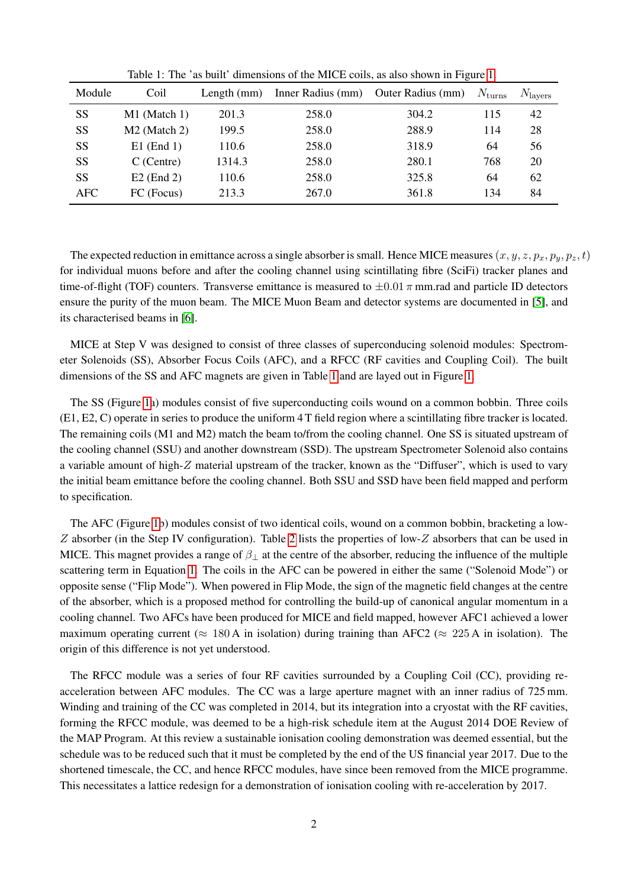| Module | Coil                     | Length $(mm)$ | Inner Radius (mm) | Outer Radius (mm) | $N_{\text{turns}}$ | $N_{\text{layers}}$ |
|--------|--------------------------|---------------|-------------------|-------------------|--------------------|---------------------|
| SS     | M1 (Match 1)             | 201.3         | 258.0             | 304.2             | 115                | 42                  |
| SS     | M <sub>2</sub> (Match 2) | 199.5         | 258.0             | 288.9             | 114                | 28                  |
| SS     | $E1$ (End 1)             | 110.6         | 258.0             | 318.9             | 64                 | 56                  |
| SS     | $C$ (Centre)             | 1314.3        | 258.0             | 280.1             | 768                | 20                  |
| SS     | $E2$ (End 2)             | 110.6         | 258.0             | 325.8             | 64                 | 62                  |
| AFC    | FC (Focus)               | 213.3         | 267.0             | 361.8             | 134                | 84                  |

<span id="page-1-0"></span>Table 1: The 'as built' dimensions of the MICE coils, as also shown in Figure [1.](#page-2-0)

The expected reduction in emittance across a single absorber is small. Hence MICE measures  $(x, y, z, p_x, p_y, p_z, t)$ for individual muons before and after the cooling channel using scintillating fibre (SciFi) tracker planes and time-of-flight (TOF) counters. Transverse emittance is measured to  $\pm 0.01 \pi$  mm.rad and particle ID detectors ensure the purity of the muon beam. The MICE Muon Beam and detector systems are documented in [\[5\]](#page-11-4), and its characterised beams in [\[6\]](#page-11-5).

MICE at Step V was designed to consist of three classes of superconducing solenoid modules: Spectrometer Solenoids (SS), Absorber Focus Coils (AFC), and a RFCC (RF cavities and Coupling Coil). The built dimensions of the SS and AFC magnets are given in Table [1](#page-1-0) and are layed out in Figure [1.](#page-2-0)

The SS (Figure [1a](#page-2-0)) modules consist of five superconducting coils wound on a common bobbin. Three coils (E1, E2, C) operate in series to produce the uniform 4 T field region where a scintillating fibre tracker is located. The remaining coils (M1 and M2) match the beam to/from the cooling channel. One SS is situated upstream of the cooling channel (SSU) and another downstream (SSD). The upstream Spectrometer Solenoid also contains a variable amount of high-Z material upstream of the tracker, known as the "Diffuser", which is used to vary the initial beam emittance before the cooling channel. Both SSU and SSD have been field mapped and perform to specification.

The AFC (Figure [1b](#page-2-0)) modules consist of two identical coils, wound on a common bobbin, bracketing a low-Z absorber (in the Step IV configuration). Table [2](#page-2-1) lists the properties of low-Z absorbers that can be used in MICE. This magnet provides a range of  $\beta_{\perp}$  at the centre of the absorber, reducing the influence of the multiple scattering term in Equation [1.](#page-0-0) The coils in the AFC can be powered in either the same ("Solenoid Mode") or opposite sense ("Flip Mode"). When powered in Flip Mode, the sign of the magnetic field changes at the centre of the absorber, which is a proposed method for controlling the build-up of canonical angular momentum in a cooling channel. Two AFCs have been produced for MICE and field mapped, however AFC1 achieved a lower maximum operating current ( $\approx 180$  A in isolation) during training than AFC2 ( $\approx 225$  A in isolation). The origin of this difference is not yet understood.

The RFCC module was a series of four RF cavities surrounded by a Coupling Coil (CC), providing reacceleration between AFC modules. The CC was a large aperture magnet with an inner radius of 725 mm. Winding and training of the CC was completed in 2014, but its integration into a cryostat with the RF cavities, forming the RFCC module, was deemed to be a high-risk schedule item at the August 2014 DOE Review of the MAP Program. At this review a sustainable ionisation cooling demonstration was deemed essential, but the schedule was to be reduced such that it must be completed by the end of the US financial year 2017. Due to the shortened timescale, the CC, and hence RFCC modules, have since been removed from the MICE programme. This necessitates a lattice redesign for a demonstration of ionisation cooling with re-acceleration by 2017.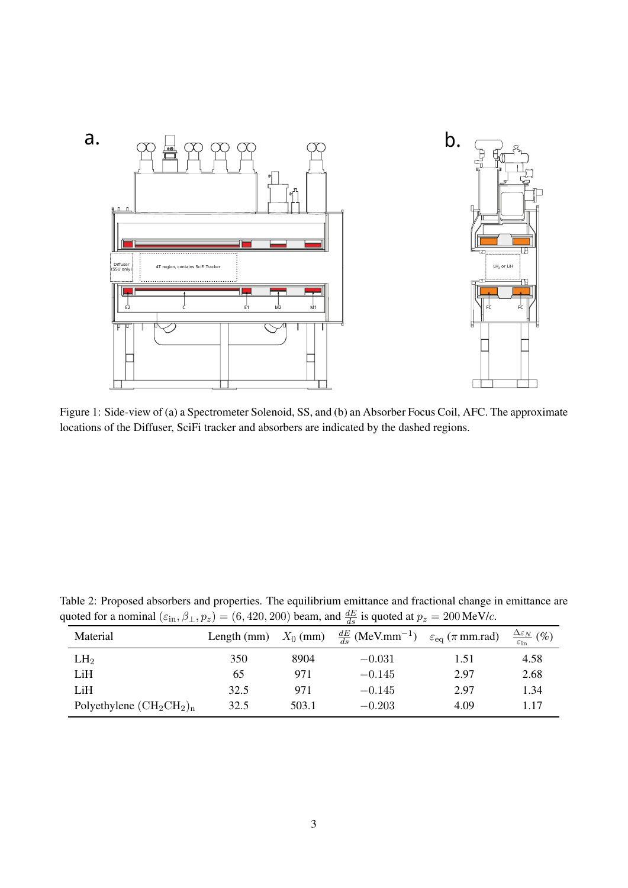

<span id="page-2-0"></span>Figure 1: Side-view of (a) a Spectrometer Solenoid, SS, and (b) an Absorber Focus Coil, AFC. The approximate locations of the Diffuser, SciFi tracker and absorbers are indicated by the dashed regions.

| Material                                    |      |       | Length (mm) $X_0$ (mm) $\frac{dE}{ds}$ (MeV.mm <sup>-1</sup> ) $\varepsilon_{eq}$ ( $\pi$ mm.rad) |      | $\frac{\Delta \varepsilon_N}{\varepsilon_{\text{in}}}$ (%) |
|---------------------------------------------|------|-------|---------------------------------------------------------------------------------------------------|------|------------------------------------------------------------|
| LH <sub>2</sub>                             | 350  | 8904  | $-0.031$                                                                                          | 1.51 | 4.58                                                       |
| LiH                                         | 65   | 971   | $-0.145$                                                                                          | 2.97 | 2.68                                                       |
| LiH                                         | 32.5 | 971   | $-0.145$                                                                                          | 2.97 | 1.34                                                       |
| Polyethylene $(\text{CH}_2\text{CH}_2)_{n}$ | 32.5 | 503.1 | $-0.203$                                                                                          | 4.09 | 1.17                                                       |

<span id="page-2-1"></span>Table 2: Proposed absorbers and properties. The equilibrium emittance and fractional change in emittance are quoted for a nominal  $(\epsilon_{\rm in}, \beta_{\perp}, p_z) = (6, 420, 200)$  beam, and  $\frac{dE}{ds}$  is quoted at  $p_z = 200$  MeV/c.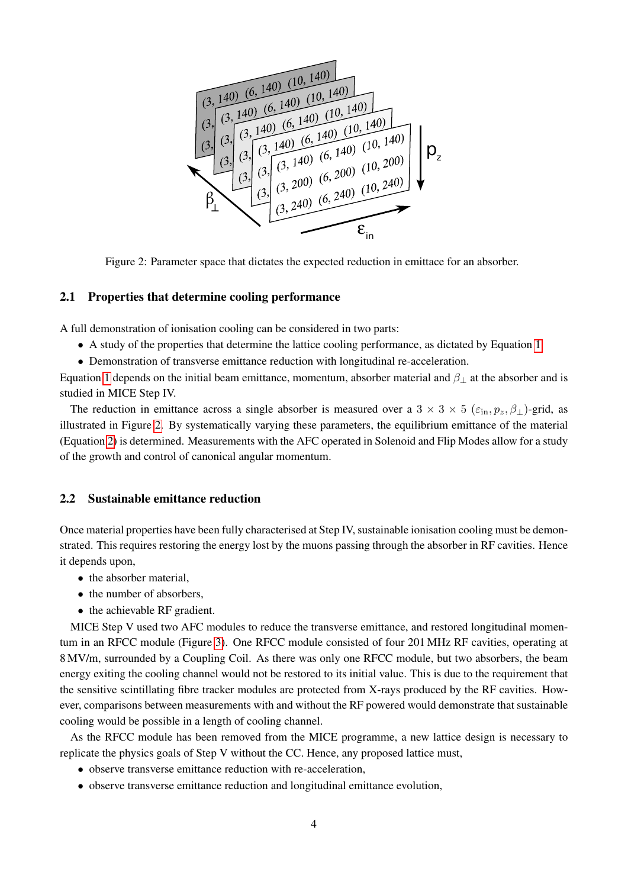

<span id="page-3-0"></span>Figure 2: Parameter space that dictates the expected reduction in emittace for an absorber.

## 2.1 Properties that determine cooling performance

A full demonstration of ionisation cooling can be considered in two parts:

- A study of the properties that determine the lattice cooling performance, as dictated by Equation [1](#page-0-0)
- Demonstration of transverse emittance reduction with longitudinal re-acceleration.

Equation [1](#page-0-0) depends on the initial beam emittance, momentum, absorber material and  $\beta_{\perp}$  at the absorber and is studied in MICE Step IV.

The reduction in emittance across a single absorber is measured over a  $3 \times 3 \times 5$  ( $\varepsilon_{\text{in}}$ ,  $p_z$ ,  $\beta_{\perp}$ )-grid, as illustrated in Figure [2.](#page-3-0) By systematically varying these parameters, the equilibrium emittance of the material (Equation [2\)](#page-0-1) is determined. Measurements with the AFC operated in Solenoid and Flip Modes allow for a study of the growth and control of canonical angular momentum.

# 2.2 Sustainable emittance reduction

Once material properties have been fully characterised at Step IV, sustainable ionisation cooling must be demonstrated. This requires restoring the energy lost by the muons passing through the absorber in RF cavities. Hence it depends upon,

- the absorber material.
- the number of absorbers,
- the achievable RF gradient.

MICE Step V used two AFC modules to reduce the transverse emittance, and restored longitudinal momentum in an RFCC module (Figure [3\)](#page-4-0). One RFCC module consisted of four 201 MHz RF cavities, operating at 8 MV/m, surrounded by a Coupling Coil. As there was only one RFCC module, but two absorbers, the beam energy exiting the cooling channel would not be restored to its initial value. This is due to the requirement that the sensitive scintillating fibre tracker modules are protected from X-rays produced by the RF cavities. However, comparisons between measurements with and without the RF powered would demonstrate that sustainable cooling would be possible in a length of cooling channel.

As the RFCC module has been removed from the MICE programme, a new lattice design is necessary to replicate the physics goals of Step V without the CC. Hence, any proposed lattice must,

- observe transverse emittance reduction with re-acceleration,
- observe transverse emittance reduction and longitudinal emittance evolution,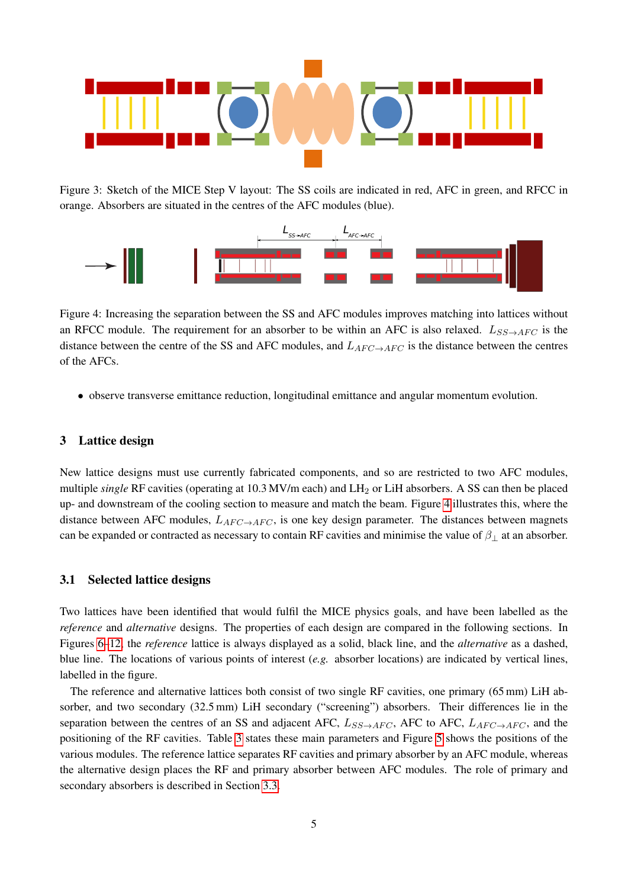

<span id="page-4-0"></span>Figure 3: Sketch of the MICE Step V layout: The SS coils are indicated in red, AFC in green, and RFCC in orange. Absorbers are situated in the centres of the AFC modules (blue).



<span id="page-4-1"></span>Figure 4: Increasing the separation between the SS and AFC modules improves matching into lattices without an RFCC module. The requirement for an absorber to be within an AFC is also relaxed.  $L_{SS\rightarrow AFC}$  is the distance between the centre of the SS and AFC modules, and  $L_{AFC\rightarrow AFC}$  is the distance between the centres of the AFCs.

• observe transverse emittance reduction, longitudinal emittance and angular momentum evolution.

## 3 Lattice design

New lattice designs must use currently fabricated components, and so are restricted to two AFC modules, multiple *single* RF cavities (operating at 10.3 MV/m each) and LH<sub>2</sub> or LiH absorbers. A SS can then be placed up- and downstream of the cooling section to measure and match the beam. Figure [4](#page-4-1) illustrates this, where the distance between AFC modules,  $L_{AFC\to AFC}$ , is one key design parameter. The distances between magnets can be expanded or contracted as necessary to contain RF cavities and minimise the value of  $\beta_{\perp}$  at an absorber.

## 3.1 Selected lattice designs

Two lattices have been identified that would fulfil the MICE physics goals, and have been labelled as the *reference* and *alternative* designs. The properties of each design are compared in the following sections. In Figures [6–](#page-7-0)[12,](#page-10-0) the *reference* lattice is always displayed as a solid, black line, and the *alternative* as a dashed, blue line. The locations of various points of interest (*e.g.* absorber locations) are indicated by vertical lines, labelled in the figure.

The reference and alternative lattices both consist of two single RF cavities, one primary (65 mm) LiH absorber, and two secondary (32.5 mm) LiH secondary ("screening") absorbers. Their differences lie in the separation between the centres of an SS and adjacent AFC,  $L_{SS\rightarrow AFC}$ , AFC to AFC,  $L_{AFC\rightarrow AFC}$ , and the positioning of the RF cavities. Table [3](#page-5-0) states these main parameters and Figure [5](#page-5-1) shows the positions of the various modules. The reference lattice separates RF cavities and primary absorber by an AFC module, whereas the alternative design places the RF and primary absorber between AFC modules. The role of primary and secondary absorbers is described in Section [3.3.](#page-8-0)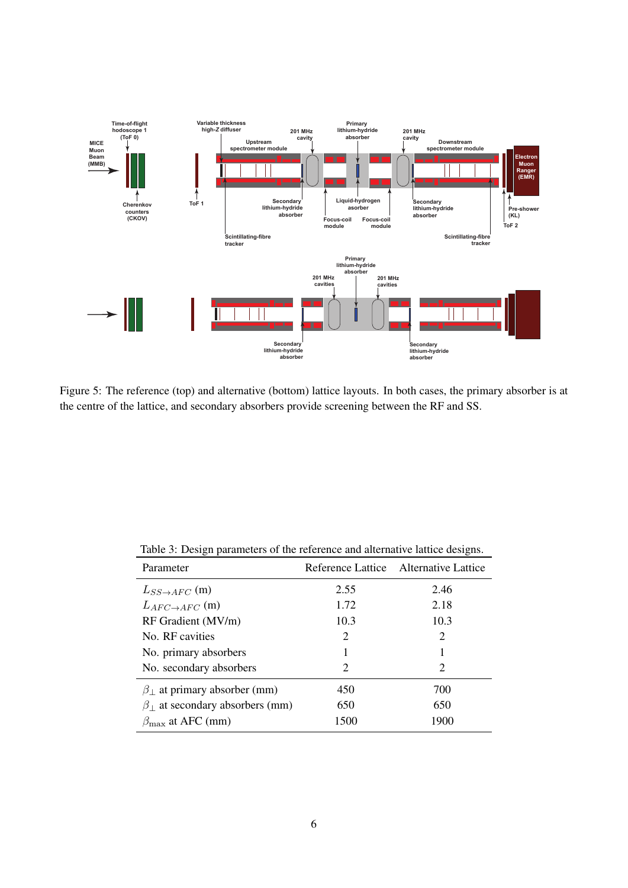

<span id="page-5-1"></span>Figure 5: The reference (top) and alternative (bottom) lattice layouts. In both cases, the primary absorber is at the centre of the lattice, and secondary absorbers provide screening between the RF and SS.

| Parameter                                   |      | Reference Lattice Alternative Lattice |
|---------------------------------------------|------|---------------------------------------|
| $L_{SS\rightarrow AFC}$ (m)                 | 2.55 | 2.46                                  |
| $L_{AFC\rightarrow AFC}$ (m)                | 1.72 | 2.18                                  |
| RF Gradient (MV/m)                          | 10.3 | 10.3                                  |
| No. RF cavities                             | 2    | 2                                     |
| No. primary absorbers                       |      |                                       |
| No. secondary absorbers                     | 2    | 2                                     |
| $\beta_{\perp}$ at primary absorber (mm)    | 450  | 700                                   |
| $\beta_{\perp}$ at secondary absorbers (mm) | 650  | 650                                   |
| $\beta_{\text{max}}$ at AFC (mm)            | 1500 | 1900                                  |

<span id="page-5-0"></span>Table 3: Design parameters of the reference and alternative lattice designs.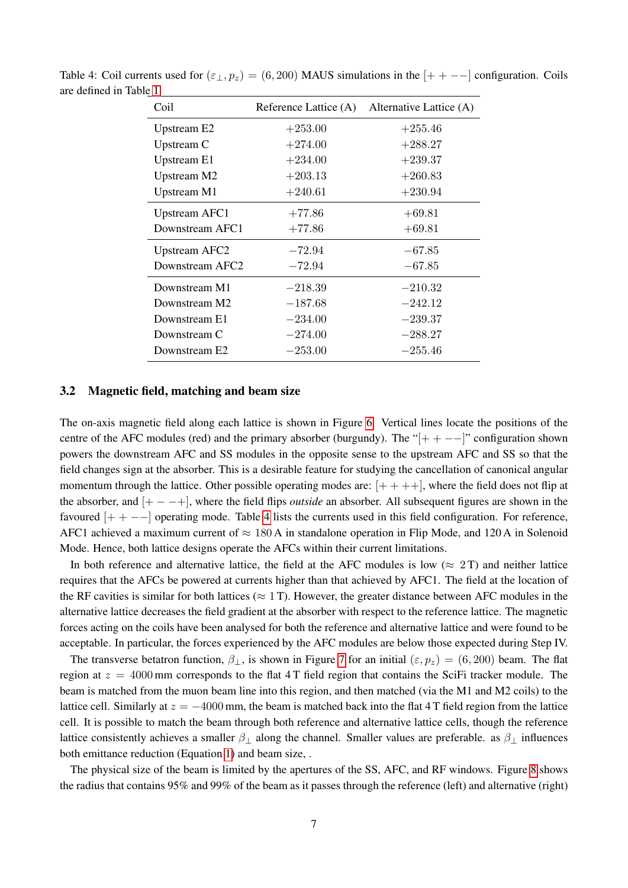| Coil                        | Reference Lattice (A) | Alternative Lattice (A) |
|-----------------------------|-----------------------|-------------------------|
| Upstream E2                 | $+253.00$             | $+255.46$               |
| Upstream C                  | $+274.00$             | $+288.27$               |
| Upstream E1                 | $+234.00$             | $+239.37$               |
| Upstream M2                 | $+203.13$             | $+260.83$               |
| Upstream M1                 | $+240.61$             | $+230.94$               |
| Upstream AFC1               | $+77.86$              | $+69.81$                |
| Downstream AFC1             | $+77.86$              | $+69.81$                |
| <b>Upstream AFC2</b>        | $-72.94$              | $-67.85$                |
| Downstream AFC <sub>2</sub> | $-72.94$              | $-67.85$                |
| Downstream M1               | $-218.39$             | $-210.32$               |
| Downstream M2               | $-187.68$             | $-242.12$               |
| Downstream E1               | $-234.00$             | $-239.37$               |
| Downstream C                | $-274.00$             | $-288.27$               |
| Downstream E2               | $-253.00$             | $-255.46$               |

<span id="page-6-0"></span>Table 4: Coil currents used for  $(\varepsilon_{\perp}, p_z) = (6, 200)$  MAUS simulations in the  $[+ + -1]$  configuration. Coils are defined in Table [1.](#page-1-0)

#### 3.2 Magnetic field, matching and beam size

The on-axis magnetic field along each lattice is shown in Figure [6.](#page-7-0) Vertical lines locate the positions of the centre of the AFC modules (red) and the primary absorber (burgundy). The " $[+ + - -]$ " configuration shown powers the downstream AFC and SS modules in the opposite sense to the upstream AFC and SS so that the field changes sign at the absorber. This is a desirable feature for studying the cancellation of canonical angular momentum through the lattice. Other possible operating modes are:  $[++++]$ , where the field does not flip at the absorber, and [+ − −+], where the field flips *outside* an absorber. All subsequent figures are shown in the favoured  $[+ + --]$  operating mode. Table [4](#page-6-0) lists the currents used in this field configuration. For reference, AFC1 achieved a maximum current of  $\approx 180$  A in standalone operation in Flip Mode, and 120 A in Solenoid Mode. Hence, both lattice designs operate the AFCs within their current limitations.

In both reference and alternative lattice, the field at the AFC modules is low ( $\approx 2$ T) and neither lattice requires that the AFCs be powered at currents higher than that achieved by AFC1. The field at the location of the RF cavities is similar for both lattices ( $\approx$  1 T). However, the greater distance between AFC modules in the alternative lattice decreases the field gradient at the absorber with respect to the reference lattice. The magnetic forces acting on the coils have been analysed for both the reference and alternative lattice and were found to be acceptable. In particular, the forces experienced by the AFC modules are below those expected during Step IV.

The transverse betatron function,  $\beta_{\perp}$ , is shown in Figure [7](#page-7-1) for an initial  $(\varepsilon, p_z) = (6, 200)$  beam. The flat region at  $z = 4000$  mm corresponds to the flat 4 T field region that contains the SciFi tracker module. The beam is matched from the muon beam line into this region, and then matched (via the M1 and M2 coils) to the lattice cell. Similarly at  $z = -4000$  mm, the beam is matched back into the flat 4 T field region from the lattice cell. It is possible to match the beam through both reference and alternative lattice cells, though the reference lattice consistently achieves a smaller  $\beta_{\perp}$  along the channel. Smaller values are preferable. as  $\beta_{\perp}$  influences both emittance reduction (Equation [1\)](#page-0-0) and beam size, .

The physical size of the beam is limited by the apertures of the SS, AFC, and RF windows. Figure [8](#page-8-1) shows the radius that contains 95% and 99% of the beam as it passes through the reference (left) and alternative (right)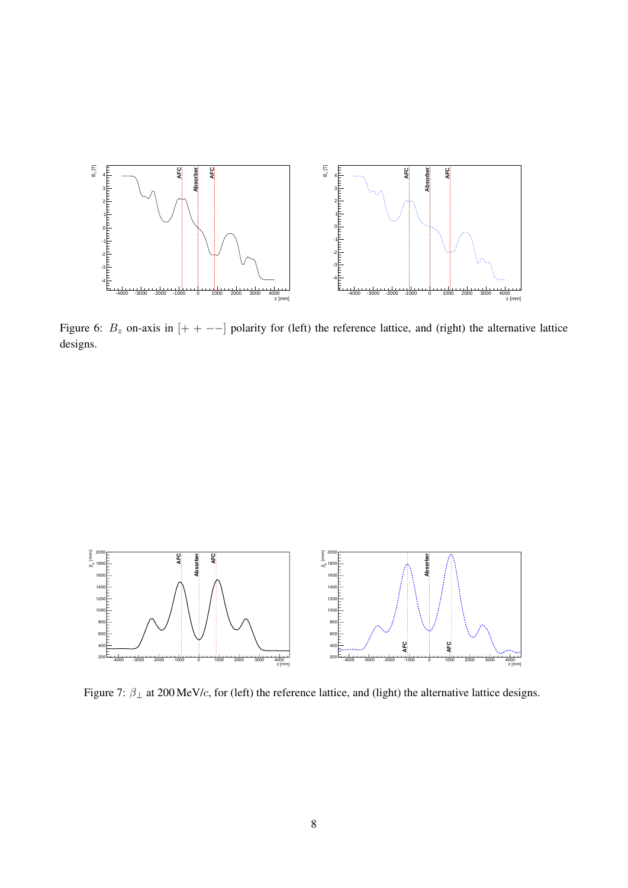

<span id="page-7-0"></span>Figure 6:  $B_z$  on-axis in  $[+ + -]$  polarity for (left) the reference lattice, and (right) the alternative lattice designs.



<span id="page-7-1"></span>Figure 7:  $\beta_{\perp}$  at 200 MeV/c, for (left) the reference lattice, and (light) the alternative lattice designs.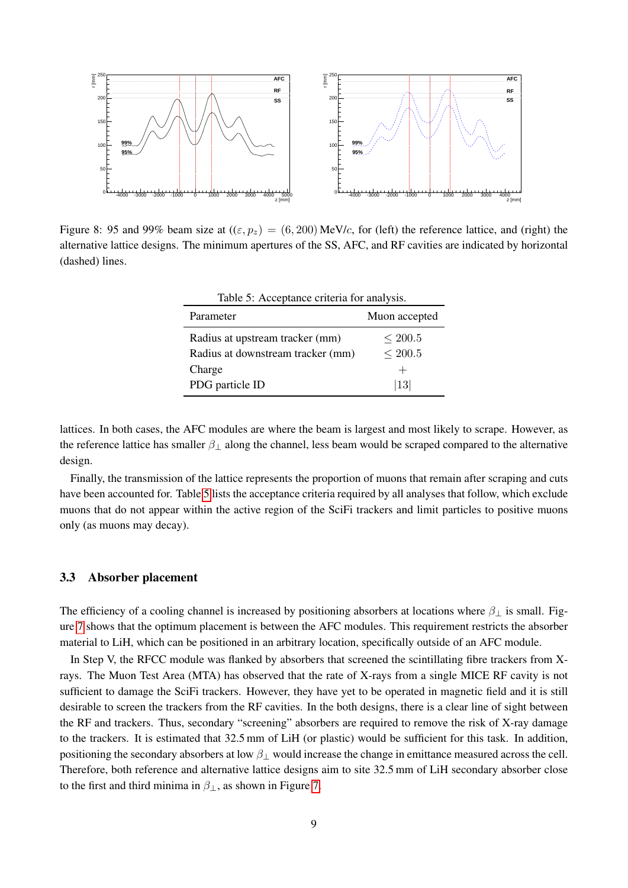

<span id="page-8-1"></span>Figure 8: 95 and 99% beam size at  $((\varepsilon, p_z) = (6, 200) \text{ MeV}/c$ , for (left) the reference lattice, and (right) the alternative lattice designs. The minimum apertures of the SS, AFC, and RF cavities are indicated by horizontal (dashed) lines.

<span id="page-8-2"></span>

| Table 5: Acceptance criteria for analysis. |               |  |  |
|--------------------------------------------|---------------|--|--|
| Parameter                                  | Muon accepted |  |  |
| Radius at upstream tracker (mm)            | $\leq 200.5$  |  |  |
| Radius at downstream tracker (mm)          | ${}<$ 200.5   |  |  |
| Charge                                     | $\pm$         |  |  |
| PDG particle ID                            | 13            |  |  |

lattices. In both cases, the AFC modules are where the beam is largest and most likely to scrape. However, as the reference lattice has smaller  $\beta_{\perp}$  along the channel, less beam would be scraped compared to the alternative design.

Finally, the transmission of the lattice represents the proportion of muons that remain after scraping and cuts have been accounted for. Table [5](#page-8-2) lists the acceptance criteria required by all analyses that follow, which exclude muons that do not appear within the active region of the SciFi trackers and limit particles to positive muons only (as muons may decay).

#### <span id="page-8-0"></span>3.3 Absorber placement

The efficiency of a cooling channel is increased by positioning absorbers at locations where  $\beta_{\perp}$  is small. Figure [7](#page-7-1) shows that the optimum placement is between the AFC modules. This requirement restricts the absorber material to LiH, which can be positioned in an arbitrary location, specifically outside of an AFC module.

In Step V, the RFCC module was flanked by absorbers that screened the scintillating fibre trackers from Xrays. The Muon Test Area (MTA) has observed that the rate of X-rays from a single MICE RF cavity is not sufficient to damage the SciFi trackers. However, they have yet to be operated in magnetic field and it is still desirable to screen the trackers from the RF cavities. In the both designs, there is a clear line of sight between the RF and trackers. Thus, secondary "screening" absorbers are required to remove the risk of X-ray damage to the trackers. It is estimated that 32.5 mm of LiH (or plastic) would be sufficient for this task. In addition, positioning the secondary absorbers at low  $\beta_{\perp}$  would increase the change in emittance measured across the cell. Therefore, both reference and alternative lattice designs aim to site 32.5 mm of LiH secondary absorber close to the first and third minima in  $\beta_{\perp}$ , as shown in Figure [7.](#page-7-1)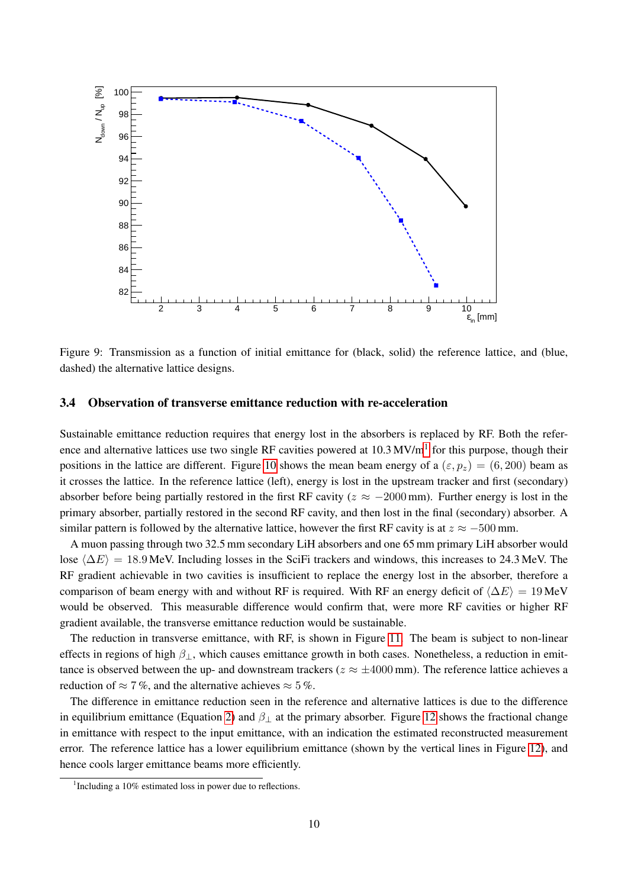

Figure 9: Transmission as a function of initial emittance for (black, solid) the reference lattice, and (blue, dashed) the alternative lattice designs.

## 3.4 Observation of transverse emittance reduction with re-acceleration

Sustainable emittance reduction requires that energy lost in the absorbers is replaced by RF. Both the refer-ence and alternative lattices use two single RF cavities powered at [1](#page-9-0)0.3 MV/m<sup>1</sup> for this purpose, though their positions in the lattice are different. Figure [10](#page-10-1) shows the mean beam energy of a  $(\varepsilon, p_z) = (6, 200)$  beam as it crosses the lattice. In the reference lattice (left), energy is lost in the upstream tracker and first (secondary) absorber before being partially restored in the first RF cavity ( $z \approx -2000$  mm). Further energy is lost in the primary absorber, partially restored in the second RF cavity, and then lost in the final (secondary) absorber. A similar pattern is followed by the alternative lattice, however the first RF cavity is at  $z \approx -500$  mm.

A muon passing through two 32.5 mm secondary LiH absorbers and one 65 mm primary LiH absorber would lose  $\langle \Delta E \rangle = 18.9$  MeV. Including losses in the SciFi trackers and windows, this increases to 24.3 MeV. The RF gradient achievable in two cavities is insufficient to replace the energy lost in the absorber, therefore a comparison of beam energy with and without RF is required. With RF an energy deficit of  $\langle \Delta E \rangle = 19$  MeV would be observed. This measurable difference would confirm that, were more RF cavities or higher RF gradient available, the transverse emittance reduction would be sustainable.

The reduction in transverse emittance, with RF, is shown in Figure [11.](#page-10-2) The beam is subject to non-linear effects in regions of high  $\beta_{\perp}$ , which causes emittance growth in both cases. Nonetheless, a reduction in emittance is observed between the up- and downstream trackers ( $z \approx \pm 4000$  mm). The reference lattice achieves a reduction of  $\approx 7\%$ , and the alternative achieves  $\approx 5\%$ .

The difference in emittance reduction seen in the reference and alternative lattices is due to the difference in equilibrium emittance (Equation [2\)](#page-0-1) and  $\beta_1$  at the primary absorber. Figure [12](#page-10-0) shows the fractional change in emittance with respect to the input emittance, with an indication the estimated reconstructed measurement error. The reference lattice has a lower equilibrium emittance (shown by the vertical lines in Figure [12\)](#page-10-0), and hence cools larger emittance beams more efficiently.

<span id="page-9-0"></span><sup>&</sup>lt;sup>1</sup>Including a 10% estimated loss in power due to reflections.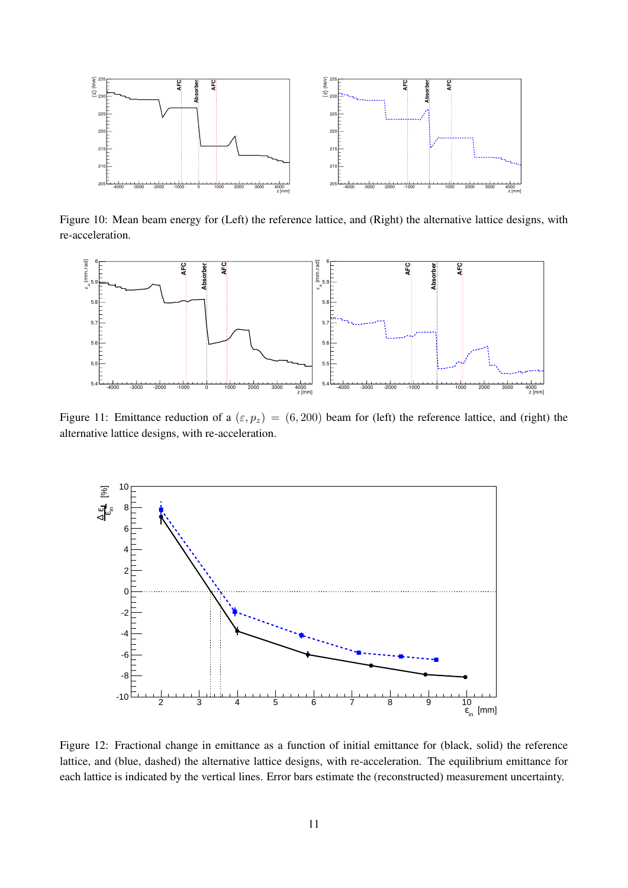

<span id="page-10-1"></span>Figure 10: Mean beam energy for (Left) the reference lattice, and (Right) the alternative lattice designs, with re-acceleration.



<span id="page-10-2"></span>Figure 11: Emittance reduction of a  $(\varepsilon, p_z) = (6, 200)$  beam for (left) the reference lattice, and (right) the alternative lattice designs, with re-acceleration.



<span id="page-10-0"></span>Figure 12: Fractional change in emittance as a function of initial emittance for (black, solid) the reference lattice, and (blue, dashed) the alternative lattice designs, with re-acceleration. The equilibrium emittance for each lattice is indicated by the vertical lines. Error bars estimate the (reconstructed) measurement uncertainty.